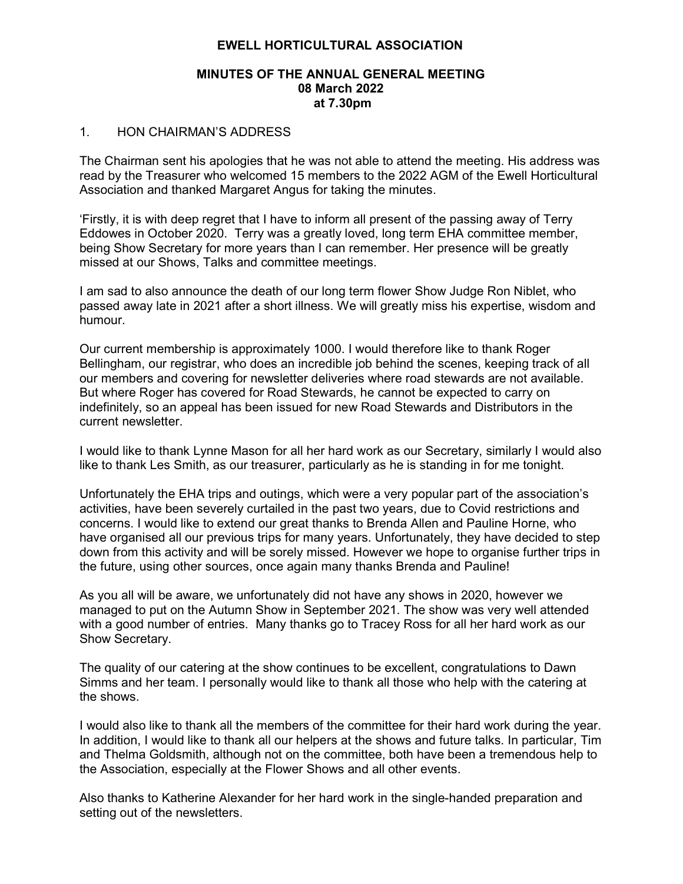#### EWELL HORTICULTURAL ASSOCIATION

#### MINUTES OF THE ANNUAL GENERAL MEETING 08 March 2022 at 7.30pm

#### 1. HON CHAIRMAN'S ADDRESS

The Chairman sent his apologies that he was not able to attend the meeting. His address was read by the Treasurer who welcomed 15 members to the 2022 AGM of the Ewell Horticultural Association and thanked Margaret Angus for taking the minutes.

'Firstly, it is with deep regret that I have to inform all present of the passing away of Terry Eddowes in October 2020. Terry was a greatly loved, long term EHA committee member, being Show Secretary for more years than I can remember. Her presence will be greatly missed at our Shows, Talks and committee meetings.

I am sad to also announce the death of our long term flower Show Judge Ron Niblet, who passed away late in 2021 after a short illness. We will greatly miss his expertise, wisdom and humour.

Our current membership is approximately 1000. I would therefore like to thank Roger Bellingham, our registrar, who does an incredible job behind the scenes, keeping track of all our members and covering for newsletter deliveries where road stewards are not available. But where Roger has covered for Road Stewards, he cannot be expected to carry on indefinitely, so an appeal has been issued for new Road Stewards and Distributors in the current newsletter.

I would like to thank Lynne Mason for all her hard work as our Secretary, similarly I would also like to thank Les Smith, as our treasurer, particularly as he is standing in for me tonight.

Unfortunately the EHA trips and outings, which were a very popular part of the association's activities, have been severely curtailed in the past two years, due to Covid restrictions and concerns. I would like to extend our great thanks to Brenda Allen and Pauline Horne, who have organised all our previous trips for many years. Unfortunately, they have decided to step down from this activity and will be sorely missed. However we hope to organise further trips in the future, using other sources, once again many thanks Brenda and Pauline!

As you all will be aware, we unfortunately did not have any shows in 2020, however we managed to put on the Autumn Show in September 2021. The show was very well attended with a good number of entries. Many thanks go to Tracey Ross for all her hard work as our Show Secretary.

The quality of our catering at the show continues to be excellent, congratulations to Dawn Simms and her team. I personally would like to thank all those who help with the catering at the shows.

I would also like to thank all the members of the committee for their hard work during the year. In addition, I would like to thank all our helpers at the shows and future talks. In particular, Tim and Thelma Goldsmith, although not on the committee, both have been a tremendous help to the Association, especially at the Flower Shows and all other events.

Also thanks to Katherine Alexander for her hard work in the single-handed preparation and setting out of the newsletters.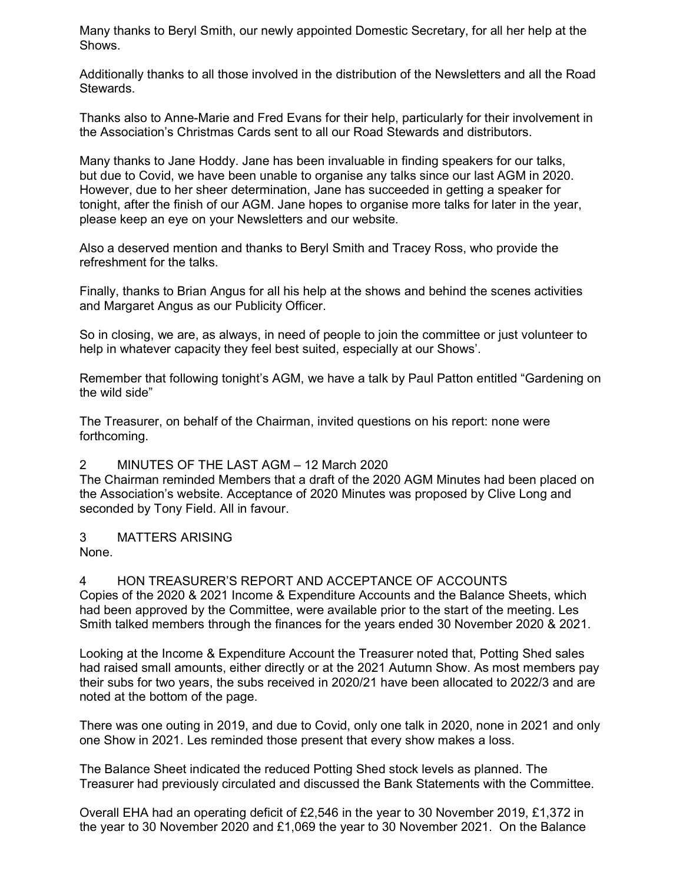Many thanks to Beryl Smith, our newly appointed Domestic Secretary, for all her help at the Shows.

Additionally thanks to all those involved in the distribution of the Newsletters and all the Road Stewards.

Thanks also to Anne-Marie and Fred Evans for their help, particularly for their involvement in the Association's Christmas Cards sent to all our Road Stewards and distributors.

Many thanks to Jane Hoddy. Jane has been invaluable in finding speakers for our talks, but due to Covid, we have been unable to organise any talks since our last AGM in 2020. However, due to her sheer determination, Jane has succeeded in getting a speaker for tonight, after the finish of our AGM. Jane hopes to organise more talks for later in the year, please keep an eye on your Newsletters and our website.

Also a deserved mention and thanks to Beryl Smith and Tracey Ross, who provide the refreshment for the talks.

Finally, thanks to Brian Angus for all his help at the shows and behind the scenes activities and Margaret Angus as our Publicity Officer.

So in closing, we are, as always, in need of people to join the committee or just volunteer to help in whatever capacity they feel best suited, especially at our Shows'.

Remember that following tonight's AGM, we have a talk by Paul Patton entitled "Gardening on the wild side"

The Treasurer, on behalf of the Chairman, invited questions on his report: none were forthcoming.

#### 2 MINUTES OF THE LAST AGM – 12 March 2020

The Chairman reminded Members that a draft of the 2020 AGM Minutes had been placed on the Association's website. Acceptance of 2020 Minutes was proposed by Clive Long and seconded by Tony Field. All in favour.

### 3 MATTERS ARISING

None.

4 HON TREASURER'S REPORT AND ACCEPTANCE OF ACCOUNTS Copies of the 2020 & 2021 Income & Expenditure Accounts and the Balance Sheets, which had been approved by the Committee, were available prior to the start of the meeting. Les Smith talked members through the finances for the years ended 30 November 2020 & 2021.

Looking at the Income & Expenditure Account the Treasurer noted that, Potting Shed sales had raised small amounts, either directly or at the 2021 Autumn Show. As most members pay their subs for two years, the subs received in 2020/21 have been allocated to 2022/3 and are noted at the bottom of the page.

There was one outing in 2019, and due to Covid, only one talk in 2020, none in 2021 and only one Show in 2021. Les reminded those present that every show makes a loss.

The Balance Sheet indicated the reduced Potting Shed stock levels as planned. The Treasurer had previously circulated and discussed the Bank Statements with the Committee.

Overall EHA had an operating deficit of £2,546 in the year to 30 November 2019, £1,372 in the year to 30 November 2020 and £1,069 the year to 30 November 2021. On the Balance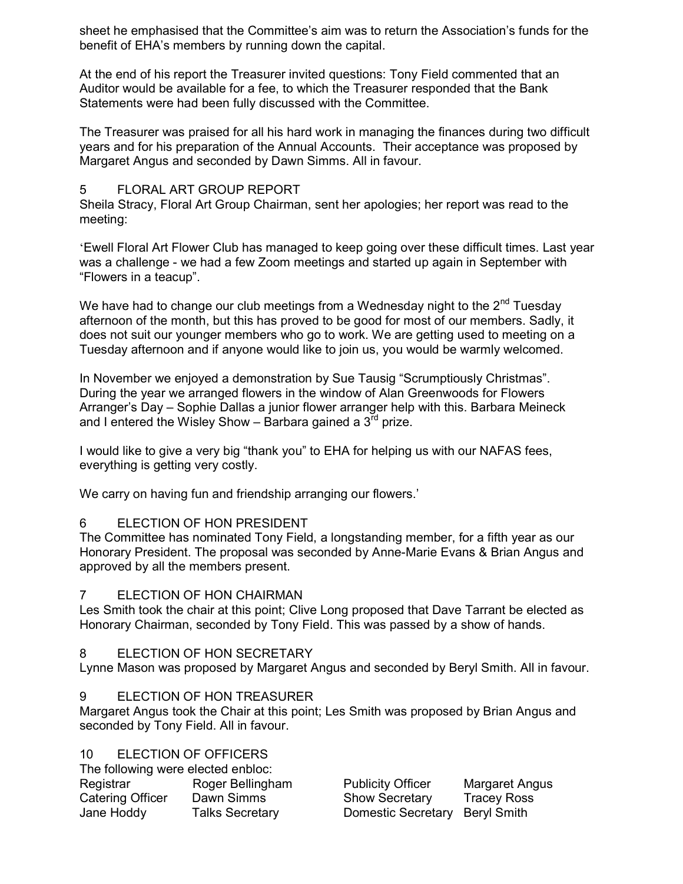sheet he emphasised that the Committee's aim was to return the Association's funds for the benefit of EHA's members by running down the capital.

At the end of his report the Treasurer invited questions: Tony Field commented that an Auditor would be available for a fee, to which the Treasurer responded that the Bank Statements were had been fully discussed with the Committee.

The Treasurer was praised for all his hard work in managing the finances during two difficult years and for his preparation of the Annual Accounts. Their acceptance was proposed by Margaret Angus and seconded by Dawn Simms. All in favour.

## 5 FLORAL ART GROUP REPORT

Sheila Stracy, Floral Art Group Chairman, sent her apologies; her report was read to the meeting:

'Ewell Floral Art Flower Club has managed to keep going over these difficult times. Last year was a challenge - we had a few Zoom meetings and started up again in September with "Flowers in a teacup".

We have had to change our club meetings from a Wednesday night to the  $2<sup>nd</sup>$  Tuesday afternoon of the month, but this has proved to be good for most of our members. Sadly, it does not suit our younger members who go to work. We are getting used to meeting on a Tuesday afternoon and if anyone would like to join us, you would be warmly welcomed.

In November we enjoyed a demonstration by Sue Tausig "Scrumptiously Christmas". During the year we arranged flowers in the window of Alan Greenwoods for Flowers Arranger's Day – Sophie Dallas a junior flower arranger help with this. Barbara Meineck and I entered the Wisley Show – Barbara gained a  $3<sup>rd</sup>$  prize.

I would like to give a very big "thank you" to EHA for helping us with our NAFAS fees, everything is getting very costly.

We carry on having fun and friendship arranging our flowers.'

# 6 ELECTION OF HON PRESIDENT

The Committee has nominated Tony Field, a longstanding member, for a fifth year as our Honorary President. The proposal was seconded by Anne-Marie Evans & Brian Angus and approved by all the members present.

### 7 ELECTION OF HON CHAIRMAN

Les Smith took the chair at this point; Clive Long proposed that Dave Tarrant be elected as Honorary Chairman, seconded by Tony Field. This was passed by a show of hands.

# 8 ELECTION OF HON SECRETARY

Lynne Mason was proposed by Margaret Angus and seconded by Beryl Smith. All in favour.

### 9 ELECTION OF HON TREASURER

Margaret Angus took the Chair at this point; Les Smith was proposed by Brian Angus and seconded by Tony Field. All in favour.

# 10 ELECTION OF OFFICERS

| The following were elected enbloc: |
|------------------------------------|
| Roger Bellingham                   |
| Dawn Simms                         |
| <b>Talks Secretary</b>             |
|                                    |

Publicity Officer Margaret Angus Show Secretary Tracey Ross Domestic Secretary Beryl Smith